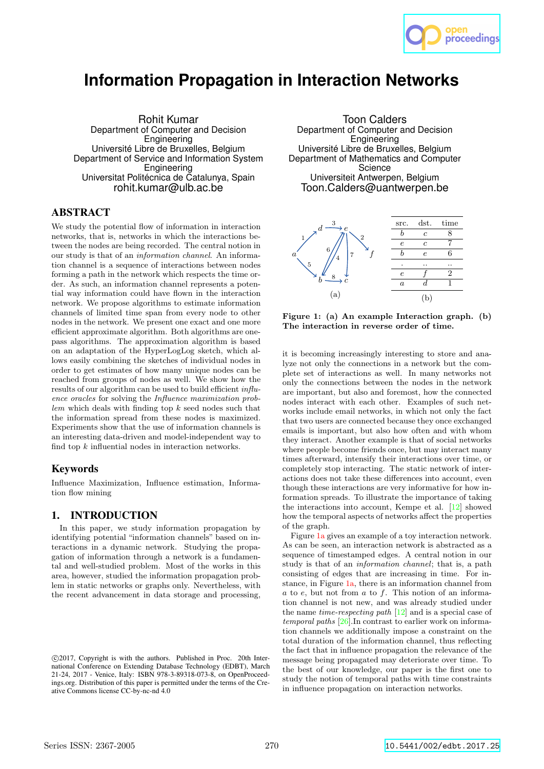

# **Information Propagation in Interaction Networks**

Rohit Kumar Department of Computer and Decision Engineering Université Libre de Bruxelles, Belgium Department of Service and Information System **Engineering** Universitat Politécnica de Catalunya, Spain rohit.kumar@ulb.ac.be

## ABSTRACT

We study the potential flow of information in interaction networks, that is, networks in which the interactions between the nodes are being recorded. The central notion in our study is that of an information channel. An information channel is a sequence of interactions between nodes forming a path in the network which respects the time order. As such, an information channel represents a potential way information could have flown in the interaction network. We propose algorithms to estimate information channels of limited time span from every node to other nodes in the network. We present one exact and one more efficient approximate algorithm. Both algorithms are onepass algorithms. The approximation algorithm is based on an adaptation of the HyperLogLog sketch, which allows easily combining the sketches of individual nodes in order to get estimates of how many unique nodes can be reached from groups of nodes as well. We show how the results of our algorithm can be used to build efficient influence oracles for solving the Influence maximization prob $lem$  which deals with finding top  $k$  seed nodes such that the information spread from these nodes is maximized. Experiments show that the use of information channels is an interesting data-driven and model-independent way to find top  $k$  influential nodes in interaction networks.

# Keywords

Influence Maximization, Influence estimation, Information flow mining

# 1. INTRODUCTION

In this paper, we study information propagation by identifying potential "information channels" based on interactions in a dynamic network. Studying the propagation of information through a network is a fundamental and well-studied problem. Most of the works in this area, however, studied the information propagation problem in static networks or graphs only. Nevertheless, with the recent advancement in data storage and processing,

Toon Calders Department of Computer and Decision **Engineering** Université Libre de Bruxelles, Belgium Department of Mathematics and Computer **Science** Universiteit Antwerpen, Belgium Toon.Calders@uantwerpen.be



Figure 1: (a) An example Interaction graph. (b) The interaction in reverse order of time.

it is becoming increasingly interesting to store and analyze not only the connections in a network but the complete set of interactions as well. In many networks not only the connections between the nodes in the network are important, but also and foremost, how the connected nodes interact with each other. Examples of such networks include email networks, in which not only the fact that two users are connected because they once exchanged emails is important, but also how often and with whom they interact. Another example is that of social networks where people become friends once, but may interact many times afterward, intensify their interactions over time, or completely stop interacting. The static network of interactions does not take these differences into account, even though these interactions are very informative for how information spreads. To illustrate the importance of taking the interactions into account, Kempe et al. [12] showed how the temporal aspects of networks affect the properties of the graph.

Figure 1a gives an example of a toy interaction network. As can be seen, an interaction network is abstracted as a sequence of timestamped edges. A central notion in our study is that of an *information channel*; that is, a path consisting of edges that are increasing in time. For instance, in Figure 1a, there is an information channel from  $a$  to  $e$ , but not from  $a$  to  $f$ . This notion of an information channel is not new, and was already studied under the name *time-respecting path*  $[12]$  and is a special case of temporal paths [26].In contrast to earlier work on information channels we additionally impose a constraint on the total duration of the information channel, thus reflecting the fact that in influence propagation the relevance of the message being propagated may deteriorate over time. To the best of our knowledge, our paper is the first one to study the notion of temporal paths with time constraints in influence propagation on interaction networks.

c 2017, Copyright is with the authors. Published in Proc. 20th International Conference on Extending Database Technology (EDBT), March 21-24, 2017 - Venice, Italy: ISBN 978-3-89318-073-8, on OpenProceedings.org. Distribution of this paper is permitted under the terms of the Creative Commons license CC-by-nc-nd 4.0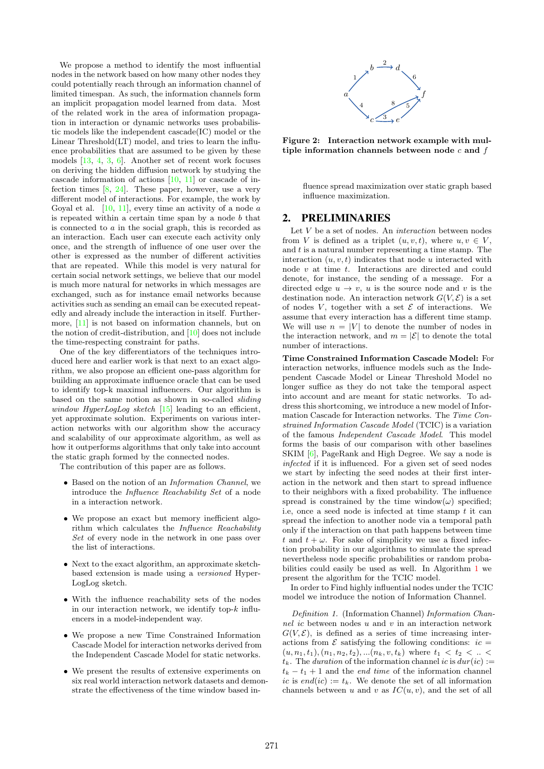We propose a method to identify the most influential nodes in the network based on how many other nodes they could potentially reach through an information channel of limited timespan. As such, the information channels form an implicit propagation model learned from data. Most of the related work in the area of information propagation in interaction or dynamic networks uses probabilistic models like the independent cascade(IC) model or the Linear Threshold(LT) model, and tries to learn the influence probabilities that are assumed to be given by these models [13, 4, 3, 6]. Another set of recent work focuses on deriving the hidden diffusion network by studying the cascade information of actions [10, 11] or cascade of infection times [8, 24]. These paper, however, use a very different model of interactions. For example, the work by Goyal et al.  $[10, 11]$ , every time an activity of a node  $\alpha$ is repeated within a certain time span by a node b that is connected to a in the social graph, this is recorded as an interaction. Each user can execute each activity only once, and the strength of influence of one user over the other is expressed as the number of different activities that are repeated. While this model is very natural for certain social network settings, we believe that our model is much more natural for networks in which messages are exchanged, such as for instance email networks because activities such as sending an email can be executed repeatedly and already include the interaction in itself. Furthermore, [11] is not based on information channels, but on the notion of credit-distribution, and [10] does not include the time-respecting constraint for paths.

One of the key differentiators of the techniques introduced here and earlier work is that next to an exact algorithm, we also propose an efficient one-pass algorithm for building an approximate influence oracle that can be used to identify top-k maximal influencers. Our algorithm is based on the same notion as shown in so-called sliding window HyperLogLog sketch [15] leading to an efficient, yet approximate solution. Experiments on various interaction networks with our algorithm show the accuracy and scalability of our approximate algorithm, as well as how it outperforms algorithms that only take into account the static graph formed by the connected nodes.

The contribution of this paper are as follows.

- Based on the notion of an Information Channel, we introduce the Influence Reachability Set of a node in a interaction network.
- We propose an exact but memory inefficient algorithm which calculates the Influence Reachability Set of every node in the network in one pass over the list of interactions.
- Next to the exact algorithm, an approximate sketchbased extension is made using a versioned Hyper-LogLog sketch.
- With the influence reachability sets of the nodes in our interaction network, we identify top- $k$  influencers in a model-independent way.
- We propose a new Time Constrained Information Cascade Model for interaction networks derived from the Independent Cascade Model for static networks.
- We present the results of extensive experiments on six real world interaction network datasets and demonstrate the effectiveness of the time window based in-



Figure 2: Interaction network example with multiple information channels between node  $c$  and  $f$ 

fluence spread maximization over static graph based influence maximization.

# 2. PRELIMINARIES

Let  $V$  be a set of nodes. An *interaction* between nodes from V is defined as a triplet  $(u, v, t)$ , where  $u, v \in V$ , and  $t$  is a natural number representing a time stamp. The interaction  $(u, v, t)$  indicates that node u interacted with node  $v$  at time  $t$ . Interactions are directed and could denote, for instance, the sending of a message. For a directed edge  $u \to v$ , u is the source node and v is the destination node. An interaction network  $G(V, \mathcal{E})$  is a set of nodes V, together with a set  $\mathcal E$  of interactions. We assume that every interaction has a different time stamp. We will use  $n = |V|$  to denote the number of nodes in the interaction network, and  $m = |\mathcal{E}|$  to denote the total number of interactions.

Time Constrained Information Cascade Model: For interaction networks, influence models such as the Independent Cascade Model or Linear Threshold Model no longer suffice as they do not take the temporal aspect into account and are meant for static networks. To address this shortcoming, we introduce a new model of Information Cascade for Interaction networks. The Time Constrained Information Cascade Model (TCIC) is a variation of the famous Independent Cascade Model. This model forms the basis of our comparison with other baselines SKIM [6], PageRank and High Degree. We say a node is infected if it is influenced. For a given set of seed nodes we start by infecting the seed nodes at their first interaction in the network and then start to spread influence to their neighbors with a fixed probability. The influence spread is constrained by the time window( $\omega$ ) specified; i.e, once a seed node is infected at time stamp  $t$  it can spread the infection to another node via a temporal path only if the interaction on that path happens between time t and  $t + \omega$ . For sake of simplicity we use a fixed infection probability in our algorithms to simulate the spread nevertheless node specific probabilities or random probabilities could easily be used as well. In Algorithm 1 we present the algorithm for the TCIC model.

In order to Find highly influential nodes under the TCIC model we introduce the notion of Information Channel.

Definition 1. (Information Channel) Information Channel ic between nodes  $u$  and  $v$  in an interaction network  $G(V, \mathcal{E})$ , is defined as a series of time increasing interactions from  $\mathcal E$  satisfying the following conditions:  $ic =$  $(u, n_1, t_1), (n_1, n_2, t_2), \ldots, (n_k, v, t_k)$  where  $t_1 < t_2 < \ldots <$  $t_k$ . The duration of the information channel ic is  $dur(ic)$  :=  $t_k - t_1 + 1$  and the *end time* of the information channel ic is end(ic) :=  $t_k$ . We denote the set of all information channels between u and v as  $IC(u, v)$ , and the set of all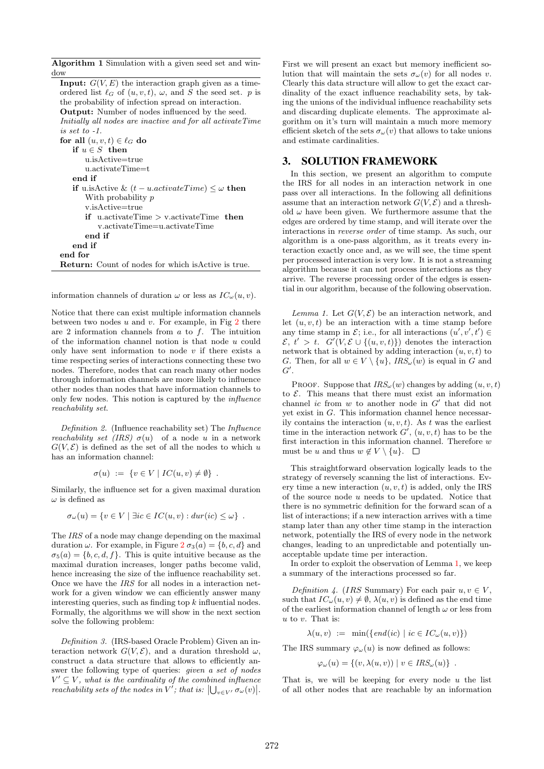Algorithm 1 Simulation with a given seed set and window

**Input:**  $G(V, E)$  the interaction graph given as a timeordered list  $\ell_G$  of  $(u, v, t)$ ,  $\omega$ , and S the seed set. p is the probability of infection spread on interaction. Output: Number of nodes influenced by the seed. Initially all nodes are inactive and for all activateTime is set to -1. for all  $(u, v, t) \in \ell_G$  do if  $u \in S$  then  $u$  is Active $=$ true u.activateTime=t end if if u.isActive &  $(t - u.activeTime) \leq \omega$  then With probability  $p$ v.isActive=true if u.activateTime > v.activateTime then v.activateTime=u.activateTime end if end if end for Return: Count of nodes for which isActive is true.

information channels of duration  $\omega$  or less as  $IC_{\omega}(u, v)$ .

Notice that there can exist multiple information channels between two nodes  $u$  and  $v$ . For example, in Fig 2 there are 2 information channels from  $a$  to  $f$ . The intuition of the information channel notion is that node  $u$  could only have sent information to node  $v$  if there exists a time respecting series of interactions connecting these two nodes. Therefore, nodes that can reach many other nodes through information channels are more likely to influence other nodes than nodes that have information channels to only few nodes. This notion is captured by the influence reachability set.

Definition 2. (Influence reachability set) The Influence *reachability set (IRS)*  $\sigma(u)$  of a node u in a network  $G(V, \mathcal{E})$  is defined as the set of all the nodes to which u has an information channel:

$$
\sigma(u) := \{ v \in V \mid IC(u, v) \neq \emptyset \} .
$$

Similarly, the influence set for a given maximal duration  $\omega$  is defined as

$$
\sigma_{\omega}(u) = \{ v \in V \mid \exists ic \in IC(u, v) : dur(ic) \leq \omega \} .
$$

The IRS of a node may change depending on the maximal duration  $\omega$ . For example, in Figure  $2 \sigma_3(a) = \{b, c, d\}$  and  $\sigma_5(a) = \{b, c, d, f\}.$  This is quite intuitive because as the maximal duration increases, longer paths become valid, hence increasing the size of the influence reachability set. Once we have the IRS for all nodes in a interaction network for a given window we can efficiently answer many interesting queries, such as finding top  $k$  influential nodes. Formally, the algorithms we will show in the next section solve the following problem:

Definition 3. (IRS-based Oracle Problem) Given an interaction network  $G(V, \mathcal{E})$ , and a duration threshold  $\omega$ , construct a data structure that allows to efficiently answer the following type of queries: given a set of nodes  $V' \subseteq V$ , what is the cardinality of the combined influence reachability sets of the nodes in  $V^{'}$ ; that is:  $\bigcup_{v\in V^{'}}\sigma_{\omega}(v)\big|$ . First we will present an exact but memory inefficient solution that will maintain the sets  $\sigma_\omega(v)$  for all nodes v. Clearly this data structure will allow to get the exact cardinality of the exact influence reachability sets, by taking the unions of the individual influence reachability sets and discarding duplicate elements. The approximate algorithm on it's turn will maintain a much more memory efficient sketch of the sets  $\sigma_\omega(v)$  that allows to take unions and estimate cardinalities.

## 3. SOLUTION FRAMEWORK

In this section, we present an algorithm to compute the IRS for all nodes in an interaction network in one pass over all interactions. In the following all definitions assume that an interaction network  $G(V, \mathcal{E})$  and a threshold  $\omega$  have been given. We furthermore assume that the edges are ordered by time stamp, and will iterate over the interactions in reverse order of time stamp. As such, our algorithm is a one-pass algorithm, as it treats every interaction exactly once and, as we will see, the time spent per processed interaction is very low. It is not a streaming algorithm because it can not process interactions as they arrive. The reverse processing order of the edges is essential in our algorithm, because of the following observation.

Lemma 1. Let  $G(V, \mathcal{E})$  be an interaction network, and let  $(u, v, t)$  be an interaction with a time stamp before any time stamp in  $\mathcal{E}$ ; i.e., for all interactions  $(u', v', t') \in$  $\mathcal{E}, t' > t$ .  $G'(V, \mathcal{E} \cup \{(u, v, t)\})$  denotes the interaction network that is obtained by adding interaction  $(u, v, t)$  to G. Then, for all  $w \in V \setminus \{u\}$ ,  $IRS_{\omega}(w)$  is equal in G and  $G^{\prime}.$ 

PROOF. Suppose that  $IRS_{\omega}(w)$  changes by adding  $(u, v, t)$ to  $\mathcal{E}$ . This means that there must exist an information channel  $ic$  from  $w$  to another node in  $G'$  that did not yet exist in G. This information channel hence necessarily contains the interaction  $(u, v, t)$ . As t was the earliest time in the interaction network  $G'$ ,  $(u, v, t)$  has to be the first interaction in this information channel. Therefore  $w$ must be u and thus  $w \notin V \setminus \{u\}.$ 

This straightforward observation logically leads to the strategy of reversely scanning the list of interactions. Every time a new interaction  $(u, v, t)$  is added, only the IRS of the source node  $u$  needs to be updated. Notice that there is no symmetric definition for the forward scan of a list of interactions; if a new interaction arrives with a time stamp later than any other time stamp in the interaction network, potentially the IRS of every node in the network changes, leading to an unpredictable and potentially unacceptable update time per interaction.

In order to exploit the observation of Lemma 1, we keep a summary of the interactions processed so far.

Definition 4. (IRS Summary) For each pair  $u, v \in V$ , such that  $IC_{\omega}(u, v) \neq \emptyset$ ,  $\lambda(u, v)$  is defined as the end time of the earliest information channel of length  $\omega$  or less from  $u$  to  $v$ . That is:

 $\lambda(u, v) := \min(\{end(ic) \mid ic \in IC_{\omega}(u, v)\})$ 

The IRS summary  $\varphi_{\omega}(u)$  is now defined as follows:

$$
\varphi_{\omega}(u) = \{(v, \lambda(u, v)) \mid v \in \text{IRS}_{\omega}(u)\} .
$$

That is, we will be keeping for every node  $u$  the list of all other nodes that are reachable by an information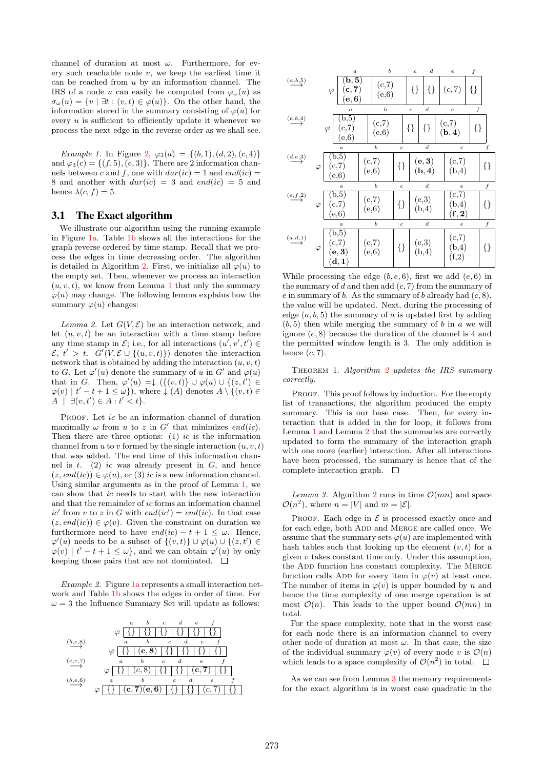channel of duration at most  $\omega$ . Furthermore, for every such reachable node  $v$ , we keep the earliest time it can be reached from  $u$  by an information channel. The IRS of a node u can easily be computed from  $\varphi_{\omega}(u)$  as  $\sigma_{\omega}(u) = \{v \mid \exists t : (v, t) \in \varphi(u)\}.$  On the other hand, the information stored in the summary consisting of  $\varphi(u)$  for every  $u$  is sufficient to efficiently update it whenever we process the next edge in the reverse order as we shall see.

Example 1. In Figure 2,  $\varphi_3(a) = \{(b, 1), (d, 2), (c, 4)\}\$ and  $\varphi_3(c) = \{(f, 5), (e, 3)\}.$  There are 2 information channels between c and f, one with  $dur(ic) = 1$  and  $end(ic) =$ 8 and another with  $dur(ic) = 3$  and  $end(ic) = 5$  and hence  $\lambda(c, f) = 5$ .

# 3.1 The Exact algorithm

We illustrate our algorithm using the running example in Figure 1a. Table 1b shows all the interactions for the graph reverse ordered by time stamp. Recall that we process the edges in time decreasing order. The algorithm is detailed in Algorithm 2. First, we initialize all  $\varphi(u)$  to the empty set. Then, whenever we process an interaction  $(u, v, t)$ , we know from Lemma 1 that only the summary  $\varphi(u)$  may change. The following lemma explains how the summary  $\varphi(u)$  changes:

Lemma 2. Let  $G(V, \mathcal{E})$  be an interaction network, and let  $(u, v, t)$  be an interaction with a time stamp before any time stamp in  $\mathcal{E}$ ; i.e., for all interactions  $(u', v', t') \in$  $\mathcal{E}, t' > t$ .  $G'(V, \mathcal{E} \cup \{(u, v, t)\})$  denotes the interaction network that is obtained by adding the interaction  $(u, v, t)$ to G. Let  $\varphi'(u)$  denote the summary of u in G' and  $\varphi(u)$ that in G. Then,  $\varphi'(u) = \downarrow (\{(v,t)\} \cup \varphi(u) \cup \{(z,t')\} \in$  $\varphi(v) \mid t'-t+1 \leq \omega$ , where  $\downarrow (A)$  denotes  $A \setminus \{(v, t) \in$  $A \mid \exists (v, t') \in A : t' < t$ .

PROOF. Let *ic* be an information channel of duration maximally  $\omega$  from u to z in G' that minimizes end(ic). Then there are three options:  $(1)$  *ic* is the information channel from u to v formed by the single interaction  $(u, v, t)$ that was added. The end time of this information channel is  $t$ . (2) ic was already present in  $G$ , and hence  $(z, end(ic)) \in \varphi(u)$ , or (3) ic is a new information channel. Using similar arguments as in the proof of Lemma 1, we can show that ic needs to start with the new interaction and that the remainder of ic forms an information channel ic' from v to z in G with  $end(ic') = end(ic)$ . In that case  $(z, end(ic)) \in \varphi(v)$ . Given the constraint on duration we furthermore need to have  $end(ic) - t + 1 \leq \omega$ . Hence,  $\varphi'(u)$  needs to be a subset of  $\{(v,t)\}\cup \varphi(u)\cup \{(z,t')\in$  $\varphi(v)$  |  $t' - t + 1 \leq \omega$ , and we can obtain  $\varphi'(u)$  by only keeping those pairs that are not dominated.  $\square$ 

Example 2. Figure  $1a$  represents a small interaction network and Table 1b shows the edges in order of time. For  $\omega=3$  the Influence Summary Set will update as follows:





While processing the edge  $(b, e, 6)$ , first we add  $(e, 6)$  in the summary of d and then add  $(c, 7)$  from the summary of e in summary of b. As the summary of b already had  $(c, 8)$ , the value will be updated. Next, during the processing of edge  $(a, b, 5)$  the summary of a is updated first by adding  $(b, 5)$  then while merging the summary of b in a we will ignore (e, 8) because the duration of the channel is 4 and the permitted window length is 3. The only addition is hence  $(c, 7)$ .

THEOREM 1. Algorithm 2 updates the IRS summary correctly.

PROOF. This proof follows by induction. For the empty list of transactions, the algorithm produced the empty summary. This is our base case. Then, for every interaction that is added in the for loop, it follows from Lemma 1 and Lemma 2 that the summaries are correctly updated to form the summary of the interaction graph with one more (earlier) interaction. After all interactions have been processed, the summary is hence that of the complete interaction graph.  $\square$ 

Lemma 3. Algorithm 2 runs in time  $\mathcal{O}(mn)$  and space  $\mathcal{O}(n^2)$ , where  $n = |V|$  and  $m = |\mathcal{E}|$ .

PROOF. Each edge in  $\mathcal E$  is processed exactly once and for each edge, both ADD and MERGE are called once. We assume that the summary sets  $\varphi(u)$  are implemented with hash tables such that looking up the element  $(v, t)$  for a given  $v$  takes constant time only. Under this assumption, the ADD function has constant complexity. The MERGE function calls ADD for every item in  $\varphi(v)$  at least once. The number of items in  $\varphi(v)$  is upper bounded by n and hence the time complexity of one merge operation is at most  $\mathcal{O}(n)$ . This leads to the upper bound  $\mathcal{O}(mn)$  in total.

For the space complexity, note that in the worst case for each node there is an information channel to every other node of duration at most  $\omega$ . In that case, the size of the individual summary  $\varphi(v)$  of every node v is  $\mathcal{O}(n)$ which leads to a space complexity of  $\mathcal{O}(n^2)$  in total.

As we can see from Lemma 3 the memory requirements for the exact algorithm is in worst case quadratic in the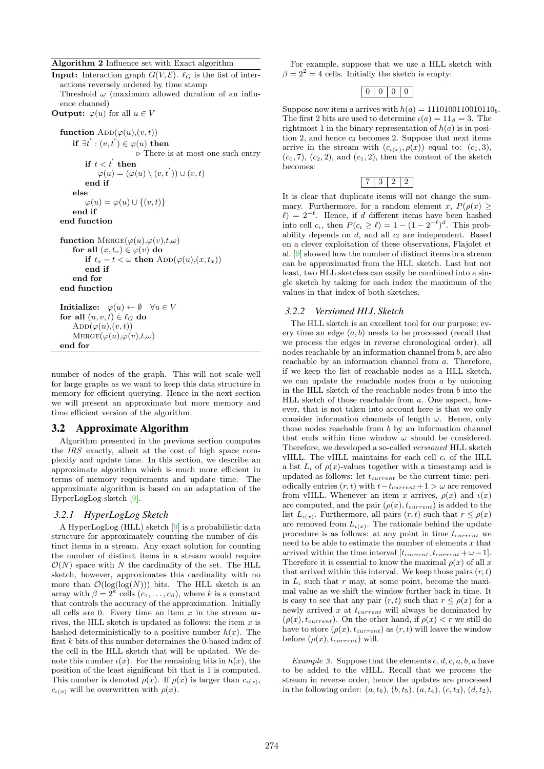#### Algorithm 2 Influence set with Exact algorithm

**Input:** Interaction graph  $G(V, \mathcal{E})$ .  $\ell_G$  is the list of interactions reversely ordered by time stamp Threshold  $\omega$  (maximum allowed duration of an influ-

ence channel)

**Output:**  $\varphi(u)$  for all  $u \in V$ 

```
function \text{ADD}(\varphi(u), (v, t))if \exists t^{'} : (v, t^{'}) \in \varphi(u) then
                                \triangleright There is at most one such entry
           \quad \text{if} \,\, t < t^{'} \,\, \text{then}\varphi(u) = (\varphi(u) \setminus (v, t^{'})) \cup (v, t)end if
     else
          \varphi(u) = \varphi(u) \cup \{(v, t)\}\end if
end function
function MERGE(\varphi(u),\varphi(v),t,\omega)for all (x, t_x) \in \varphi(v) do
          if t_x - t < \omega then \text{ADD}(\varphi(u), (x, t_x))end if
     end for
end function
Initialize: \varphi(u) \leftarrow \emptyset \quad \forall u \in V
```

```
for all (u, v, t) \in \ell_G do
     ADD(\varphi(u), (v, t))\text{Merge}(\varphi(u),\! \varphi(v),\! t,\! \omega)end for
```
number of nodes of the graph. This will not scale well for large graphs as we want to keep this data structure in memory for efficient querying. Hence in the next section we will present an approximate but more memory and time efficient version of the algorithm.

### 3.2 Approximate Algorithm

Algorithm presented in the previous section computes the IRS exactly, albeit at the cost of high space complexity and update time. In this section, we describe an approximate algorithm which is much more efficient in terms of memory requirements and update time. The approximate algorithm is based on an adaptation of the HyperLogLog sketch [9].

## *3.2.1 HyperLogLog Sketch*

A HyperLogLog (HLL) sketch [9] is a probabilistic data structure for approximately counting the number of distinct items in a stream. Any exact solution for counting the number of distinct items in a stream would require  $\mathcal{O}(N)$  space with N the cardinality of the set. The HLL sketch, however, approximates this cardinality with no more than  $\mathcal{O}(\log(\log(N)))$  bits. The HLL sketch is an array with  $\beta = 2^k$  cells  $(c_1, \ldots, c_\beta)$ , where k is a constant that controls the accuracy of the approximation. Initially all cells are 0. Every time an item  $x$  in the stream arrives, the HLL sketch is updated as follows: the item  $x$  is hashed deterministically to a positive number  $h(x)$ . The first  $k$  bits of this number determines the 0-based index of the cell in the HLL sketch that will be updated. We denote this number  $\iota(x)$ . For the remaining bits in  $h(x)$ , the position of the least significant bit that is 1 is computed. This number is denoted  $\rho(x)$ . If  $\rho(x)$  is larger than  $c_{\iota(x)}$ ,  $c_{\iota(x)}$  will be overwritten with  $\rho(x)$ .

For example, suppose that we use a HLL sketch with  $\beta = 2^2 = 4$  cells. Initially the sketch is empty:

# $0 0 0 0$

Suppose now item a arrives with  $h(a) = 1110100110010110_h$ . The first 2 bits are used to determine  $\iota(a) = 11_\beta = 3$ . The rightmost 1 in the binary representation of  $h(a)$  is in position 2, and hence  $c_3$  becomes 2. Suppose that next items arrive in the stream with  $(c_{\iota(x)}, \rho(x))$  equal to:  $(c_1, 3)$ ,  $(c_0, 7)$ ,  $(c_2, 2)$ , and  $(c_1, 2)$ , then the content of the sketch becomes:

# 7 3 2 2

It is clear that duplicate items will not change the summary. Furthermore, for a random element x,  $P(\rho(x)) \ge$  $\ell$ ) = 2<sup>- $\ell$ </sup>. Hence, if d different items have been hashed into cell  $c_t$ , then  $P(c_t \geq \ell) = 1 - (1 - 2^{-\ell})^d$ . This probability depends on  $d$ , and all  $c_i$  are independent. Based on a clever exploitation of these observations, Flajolet et al. [9] showed how the number of distinct items in a stream can be approximated from the HLL sketch. Last but not least, two HLL sketches can easily be combined into a single sketch by taking for each index the maximum of the values in that index of both sketches.

### *3.2.2 Versioned HLL Sketch*

The HLL sketch is an excellent tool for our purpose; every time an edge  $(a, b)$  needs to be processed (recall that we process the edges in reverse chronological order), all nodes reachable by an information channel from b, are also reachable by an information channel from a. Therefore, if we keep the list of reachable nodes as a HLL sketch, we can update the reachable nodes from  $a$  by unioning in the HLL sketch of the reachable nodes from b into the HLL sketch of those reachable from a. One aspect, however, that is not taken into account here is that we only consider information channels of length  $\omega$ . Hence, only those nodes reachable from  $b$  by an information channel that ends within time window  $\omega$  should be considered. Therefore, we developed a so-called versioned HLL sketch vHLL. The vHLL maintains for each cell  $c_i$  of the HLL a list  $L_i$  of  $\rho(x)$ -values together with a timestamp and is updated as follows: let  $t_{current}$  be the current time; periodically entries  $(r, t)$  with  $t-t_{current} + 1 > \omega$  are removed from vHLL. Whenever an item x arrives,  $\rho(x)$  and  $\iota(x)$ are computed, and the pair  $(\rho(x), t_{current})$  is added to the list  $L_{\iota(x)}$ . Furthermore, all pairs  $(r, t)$  such that  $r \leq \rho(x)$ are removed from  $L_{\iota(x)}$ . The rationale behind the update procedure is as follows: at any point in time  $t_{current}$  we need to be able to estimate the number of elements  $x$  that arrived within the time interval  $[t_{current}, t_{current} + \omega - 1].$ Therefore it is essential to know the maximal  $\rho(x)$  of all x that arrived within this interval. We keep those pairs  $(r, t)$ in  $L<sub>t</sub>$  such that r may, at some point, become the maximal value as we shift the window further back in time. It is easy to see that any pair  $(r, t)$  such that  $r \leq \rho(x)$  for a newly arrived  $x$  at  $t_{current}$  will always be dominated by  $(\rho(x), t_{current})$ . On the other hand, if  $\rho(x) < r$  we still do have to store  $(\rho(x), t_{current})$  as  $(r, t)$  will leave the window before  $(\rho(x), t_{current})$  will.

Example 3. Suppose that the elements  $e, d, c, a, b, a$  have to be added to the vHLL. Recall that we process the stream in reverse order, hence the updates are processed in the following order:  $(a, t_6)$ ,  $(b, t_5)$ ,  $(a, t_4)$ ,  $(c, t_3)$ ,  $(d, t_2)$ ,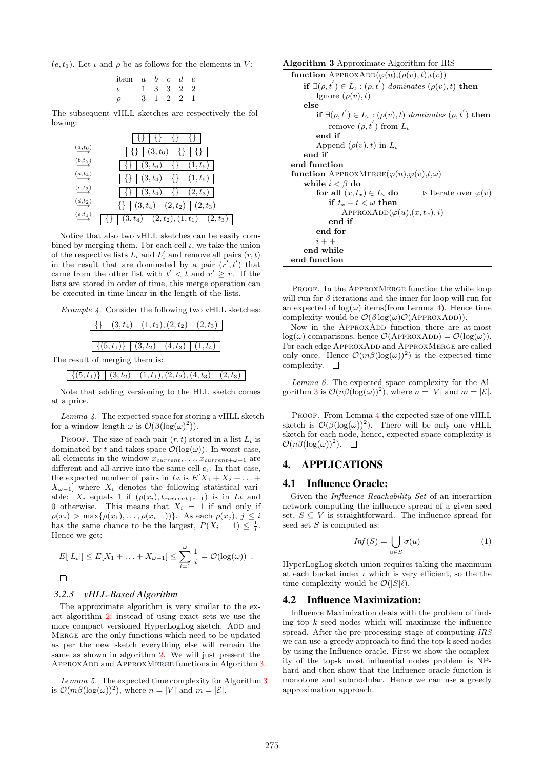$(e, t_1)$ . Let  $\iota$  and  $\rho$  be as follows for the elements in V:

| item | $\boldsymbol{a}$ | m | e |  |
|------|------------------|---|---|--|
|      |                  |   |   |  |
|      |                  |   |   |  |

The subsequent vHLL sketches are respectively the following:

|                                       | {}   {}   {}   {}                                                                                                                                               |
|---------------------------------------|-----------------------------------------------------------------------------------------------------------------------------------------------------------------|
| $\stackrel{(a,t_6)}{\longrightarrow}$ | $\vert \{ \} \vert (3, t_6) \vert \{ \} \vert \{ \} \vert$                                                                                                      |
| $\stackrel{(b,t_5)}{\longrightarrow}$ | $\vert \{ \} \vert (3, t_6) \vert \{ \} \vert (1, t_5) \vert$                                                                                                   |
| $\stackrel{(a,t_4)}{\longrightarrow}$ | $\lceil \{\}\rceil (3, t_4) \rceil \{\}\rceil (1, t_5) \rceil$                                                                                                  |
| $\stackrel{(c,t_3)}{\longrightarrow}$ | $\vert \{ \} \vert (3, t_4) \vert \{ \} \vert (2, t_3) \vert$                                                                                                   |
| $\stackrel{(d,t_2)}{\longrightarrow}$ | $\left  \right  \left\{ \right\} \left  \right. \left( 3,t_{4}\right) \left  \right. \left( 2,t_{2}\right) \left  \right. \left( 2,t_{3}\right) \left. \right $ |
| $\stackrel{(e,t_1)}{\longrightarrow}$ | $\lceil \{\}\mid (3, t_4)\mid (2, t_2), (1, t_1)\mid (2, t_3)$                                                                                                  |

Notice that also two vHLL sketches can be easily combined by merging them. For each cell  $\iota$ , we take the union of the respective lists  $L_t$  and  $L'_t$  and remove all pairs  $(r, t)$ in the result that are dominated by a pair  $(r', t')$  that came from the other list with  $t' < t$  and  $r' \geq r$ . If the lists are stored in order of time, this merge operation can be executed in time linear in the length of the lists.

Example 4. Consider the following two vHLL sketches:

|  | $\left[\right. \left. \left. \left. \right. \right\vert \left. \left. \right. \right\vert \left. \left. \right. \left. \left( 3, t_4 \right) \right. \left. \right\vert \left. \left. \left( 1, t_1 \right), \left( 2, t_2 \right) \right. \right\vert \left. \left. \left( 2, t_3 \right) \right. \right]$ |  |  |  |  |
|--|-------------------------------------------------------------------------------------------------------------------------------------------------------------------------------------------------------------------------------------------------------------------------------------------------------------|--|--|--|--|
|  |                                                                                                                                                                                                                                                                                                             |  |  |  |  |
|  | $\left[ \{ (5, t_1) \} \;   \; (3, t_2) \;   \; (4, t_3) \;   \; (1, t_4) \right]$                                                                                                                                                                                                                          |  |  |  |  |

The result of merging them is:

 $\left[\right. \{\left(5, t_1\right)\}\left.\right]$   $\left(3, t_2\right)$   $\left(1, t_1\right), (2, t_2), (4, t_3)$   $\left(2, t_3\right)$ 

Note that adding versioning to the HLL sketch comes at a price.

Lemma  $\lambda$ . The expected space for storing a vHLL sketch for a window length  $\omega$  is  $\mathcal{O}(\beta(\log(\omega)^2)).$ 

PROOF. The size of each pair  $(r, t)$  stored in a list  $L_t$  is dominated by t and takes space  $\mathcal{O}(\log(\omega))$ . In worst case, all elements in the window  $x_{current}, \ldots, x_{current+\omega-1}$  are different and all arrive into the same cell  $c_i$ . In that case, the expected number of pairs in  $L\iota$  is  $E[X_1 + X_2 + \ldots +$  $X_{\omega-1}$ ] where  $X_i$  denotes the following statistical variable:  $X_i$  equals 1 if  $(\rho(x_i), t_{current+i-1})$  is in  $L\iota$  and 0 otherwise. This means that  $X_i = 1$  if and only if  $\rho(x_i) > \max\{\rho(x_1), \ldots, \rho(x_{i-1})\}\.$  As each  $\rho(x_i), j \leq i$ has the same chance to be the largest,  $P(X_i = 1) \leq \frac{1}{i}$ . Hence we get:

$$
E[|L_{\iota}|] \leq E[X_1 + \ldots + X_{\omega-1}] \leq \sum_{i=1}^{\omega} \frac{1}{i} = \mathcal{O}(\log(\omega)).
$$

 $\Box$ 

# *3.2.3 vHLL-Based Algorithm*

The approximate algorithm is very similar to the exact algorithm 2; instead of using exact sets we use the more compact versioned HyperLogLog sketch. ADD and Merge are the only functions which need to be updated as per the new sketch everything else will remain the same as shown in algorithm 2. We will just present the APPROXADD and APPROXMERGE functions in Algorithm 3.

Lemma 5. The expected time complexity for Algorithm 3 is  $\mathcal{O}(m\beta(\log(\omega))^2)$ , where  $n = |V|$  and  $m = |\mathcal{E}|$ .

Algorithm 3 Approximate Algorithm for IRS function APPROXADD $(\varphi(u),(\rho(v), t), \iota(v))$ if  $\exists (\rho, t^{'}) \in L_{\iota} : (\rho, t^{'})$  dominates  $(\rho(v), t)$  then Ignore  $(\rho(v), t)$ else if  $\exists (\rho, t^{'}) \in L_{\iota} : (\rho(v), t)$  dominates  $(\rho, t^{'})$  then remove  $(\rho, t^{'})$  from  $L_{\iota}$ end if Append  $(\rho(v), t)$  in  $L_u$ end if end function function APPROXMERGE( $\varphi(u), \varphi(v), t, \omega$ ) while  $i < \beta$  do for all  $(x, t_x) \in L_i$  do  $\longrightarrow$  Iterate over  $\varphi(v)$ if  $t_x - t < \omega$  then  $APPROXADD(\varphi(u), (x, t_x), i)$ end if end for  $i + +$ end while end function

PROOF. In the APPROXMERGE function the while loop will run for  $\beta$  iterations and the inner for loop will run for an expected of  $\log(\omega)$  items(from Lemma 4). Hence time complexity would be  $\mathcal{O}(\beta \log(\omega) \mathcal{O}(\text{APPROXADD})).$ 

Now in the APPROXADD function there are at-most  $\log(\omega)$  comparisons, hence  $\mathcal{O}(APPROXADD) = \mathcal{O}(\log(\omega)).$ For each edge APPROXADD and APPROXMERGE are called only once. Hence  $\mathcal{O}(m\beta(\log(\omega))^2)$  is the expected time complexity.  $\quad \Box$ 

Lemma 6. The expected space complexity for the Algorithm 3 is  $\mathcal{O}(n\beta(\log(\omega))^2)$ , where  $n = |V|$  and  $m = |\mathcal{E}|$ .

PROOF. From Lemma 4 the expected size of one vHLL sketch is  $\mathcal{O}(\beta(\log(\omega))^2)$ . There will be only one vHLL sketch for each node, hence, expected space complexity is  $\mathcal{O}(n\beta(\log(\omega))^2)$ .

# 4. APPLICATIONS

## 4.1 Influence Oracle:

Given the Influence Reachability Set of an interaction network computing the influence spread of a given seed set,  $S \subseteq V$  is straightforward. The influence spread for seed set  $S$  is computed as:

$$
Inf(S) = \bigcup_{u \in S} \sigma(u) \tag{1}
$$

HyperLogLog sketch union requires taking the maximum at each bucket index  $\iota$  which is very efficient, so the the time complexity would be  $\mathcal{O}(|S|\ell)$ .

## 4.2 Influence Maximization:

Influence Maximization deals with the problem of finding top  $k$  seed nodes which will maximize the influence spread. After the pre processing stage of computing IRS we can use a greedy approach to find the top-k seed nodes by using the Influence oracle. First we show the complexity of the top-k most influential nodes problem is NPhard and then show that the Influence oracle function is monotone and submodular. Hence we can use a greedy approximation approach.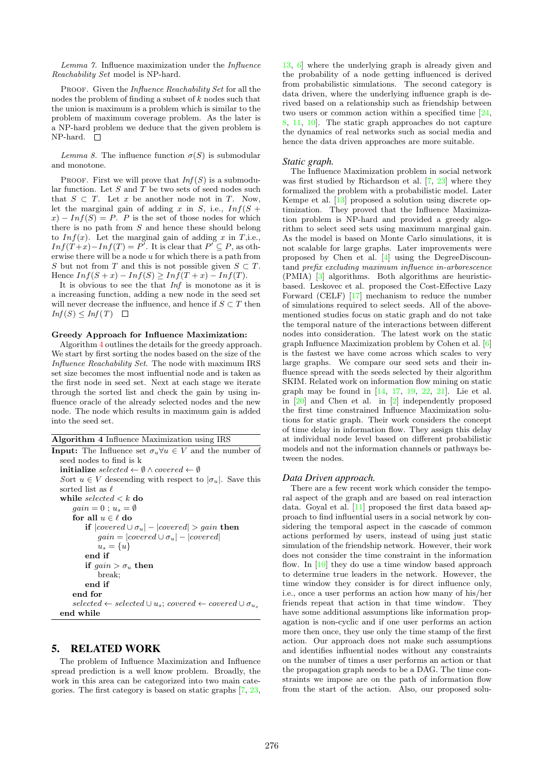Lemma 7. Influence maximization under the Influence Reachability Set model is NP-hard.

PROOF. Given the *Influence Reachability Set* for all the nodes the problem of finding a subset of k nodes such that the union is maximum is a problem which is similar to the problem of maximum coverage problem. As the later is a NP-hard problem we deduce that the given problem is  $NP$ -hard.  $\square$ 

Lemma 8. The influence function  $\sigma(S)$  is submodular and monotone.

PROOF. First we will prove that  $Inf(S)$  is a submodular function. Let  $S$  and  $T$  be two sets of seed nodes such that  $S \subset T$ . Let x be another node not in T. Now, let the marginal gain of adding x in S, i.e.,  $Inf(S +$  $x - Inf(S) = P$ . P is the set of those nodes for which there is no path from S and hence these should belong to  $Inf(x)$ . Let the marginal gain of adding x in T,i.e.,  $Inf(T+x) - Inf(T) = P'$ . It is clear that  $P' \subseteq P$ , as otherwise there will be a node u for which there is a path from S but not from T and this is not possible given  $S \subset T$ . Hence  $Inf(S+x) - Inf(S) \geq Inf(T+x) - Inf(T)$ .

It is obvious to see the that Inf is monotone as it is a increasing function, adding a new node in the seed set will never decrease the influence, and hence if  $S \subset T$  then  $Inf(S) \leq Inf(T) \quad \Box$ 

#### Greedy Approach for Influence Maximization:

Algorithm 4 outlines the details for the greedy approach. We start by first sorting the nodes based on the size of the Influence Reachability Set. The node with maximum IRS set size becomes the most influential node and is taken as the first node in seed set. Next at each stage we iterate through the sorted list and check the gain by using influence oracle of the already selected nodes and the new node. The node which results in maximum gain is added into the seed set.

| Algorithm 4 Influence Maximization using IRS |  |  |
|----------------------------------------------|--|--|
|----------------------------------------------|--|--|

| <b>Input:</b> The Influence set $\sigma_u \forall u \in V$ and the number of          |
|---------------------------------------------------------------------------------------|
| seed nodes to find is k                                                               |
| <b>initialize</b> selected $\leftarrow \emptyset \wedge covered \leftarrow \emptyset$ |
| Sort $u \in V$ descending with respect to $ \sigma_u $ . Save this                    |
| sorted list as $\ell$                                                                 |
| while selected $\lt k$ do                                                             |
| $gain=0:u_s=\emptyset$                                                                |
| for all $u \in \ell$ do                                                               |
| if $ covered \cup \sigma_u  -  covered  > gain$ then                                  |
| $qain =  covered \cup \sigma_u  -  covered $                                          |
| $u_s = \{u\}$                                                                         |
| end if                                                                                |
| if $qain > \sigma_u$ then                                                             |
| break;                                                                                |
| end if                                                                                |
| end for                                                                               |
| $selected \leftarrow selected \cup u_s; covered \leftarrow covered \cup \sigma_u$     |
| end while                                                                             |
|                                                                                       |

# 5. RELATED WORK

The problem of Influence Maximization and Influence spread prediction is a well know problem. Broadly, the work in this area can be categorized into two main categories. The first category is based on static graphs [7, 23,

13, 6] where the underlying graph is already given and the probability of a node getting influenced is derived from probabilistic simulations. The second category is data driven, where the underlying influence graph is derived based on a relationship such as friendship between two users or common action within a specified time [24, 8, 11, 10]. The static graph approaches do not capture the dynamics of real networks such as social media and hence the data driven approaches are more suitable.

#### *Static graph.*

The Influence Maximization problem in social network was first studied by Richardson et al. [7, 23] where they formalized the problem with a probabilistic model. Later Kempe et al. [13] proposed a solution using discrete optimization. They proved that the Influence Maximization problem is NP-hard and provided a greedy algorithm to select seed sets using maximum marginal gain. As the model is based on Monte Carlo simulations, it is not scalable for large graphs. Later improvements were proposed by Chen et al. [4] using the DegreeDiscountand prefix excluding maximum influence in-arborescence (PMIA) [3] algorithms. Both algorithms are heuristicbased. Leskovec et al. proposed the Cost-Effective Lazy Forward (CELF) [17] mechanism to reduce the number of simulations required to select seeds. All of the abovementioned studies focus on static graph and do not take the temporal nature of the interactions between different nodes into consideration. The latest work on the static graph Influence Maximization problem by Cohen et al. [6] is the fastest we have come across which scales to very large graphs. We compare our seed sets and their influence spread with the seeds selected by their algorithm SKIM. Related work on information flow mining on static graph may be found in [14, 17, 19, 22, 21]. Lie et al. in [20] and Chen et al. in [2] independently proposed the first time constrained Influence Maximization solutions for static graph. Their work considers the concept of time delay in information flow. They assign this delay at individual node level based on different probabilistic models and not the information channels or pathways between the nodes.

#### *Data Driven approach.*

There are a few recent work which consider the temporal aspect of the graph and are based on real interaction data. Goyal et al. [11] proposed the first data based approach to find influential users in a social network by considering the temporal aspect in the cascade of common actions performed by users, instead of using just static simulation of the friendship network. However, their work does not consider the time constraint in the information flow. In  $[10]$  they do use a time window based approach to determine true leaders in the network. However, the time window they consider is for direct influence only, i.e., once a user performs an action how many of his/her friends repeat that action in that time window. They have some additional assumptions like information propagation is non-cyclic and if one user performs an action more then once, they use only the time stamp of the first action. Our approach does not make such assumptions and identifies influential nodes without any constraints on the number of times a user performs an action or that the propagation graph needs to be a DAG. The time constraints we impose are on the path of information flow from the start of the action. Also, our proposed solu-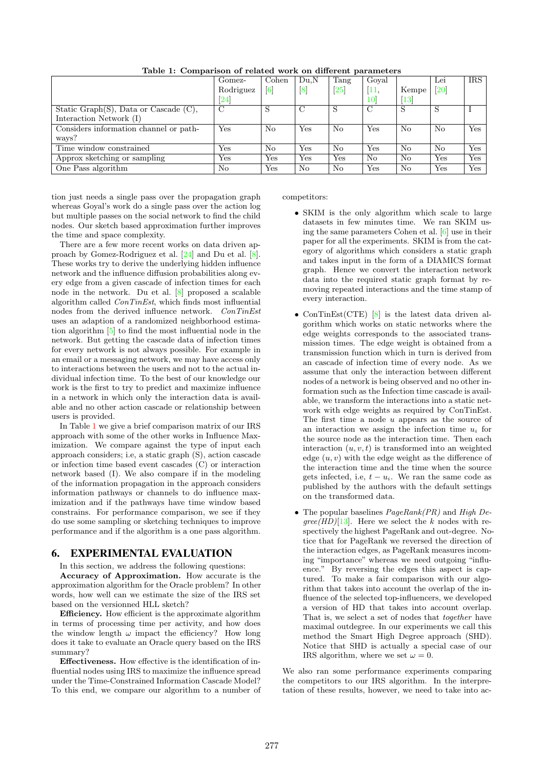|                                              | Gomez-             | Cohen             | Du.N             | Tang              | Goval           |                   | Lei               | <b>IRS</b> |
|----------------------------------------------|--------------------|-------------------|------------------|-------------------|-----------------|-------------------|-------------------|------------|
|                                              | Rodriguez          | $\lceil 6 \rceil$ | $\left[8\right]$ | $\left[25\right]$ | 11.             | Kempe             | $\left[20\right]$ |            |
|                                              | $\left[ 24\right]$ |                   |                  |                   | 10 <sup>1</sup> | $\left[13\right]$ |                   |            |
| Static Graph $(S)$ , Data or Cascade $(C)$ , | С                  |                   |                  | S                 | $\mathcal{C}$   | S                 |                   |            |
| Interaction Network (I)                      |                    |                   |                  |                   |                 |                   |                   |            |
| Considers information channel or path-       | Yes                | No                | Yes              | No                | Yes             | No                | No                | Yes        |
| ways?                                        |                    |                   |                  |                   |                 |                   |                   |            |
| Time window constrained                      | Yes                | No                | Yes              | No                | Yes             | No                | No                | Yes        |
| Approx sketching or sampling                 | Yes                | Yes               | Yes              | Yes               | No              | No                | Yes               | Yes        |
| One Pass algorithm                           | No                 | Yes               | No               | No                | Yes             | No                | Yes               | Yes        |

Table 1: Comparison of related work on different parameters

tion just needs a single pass over the propagation graph whereas Goyal's work do a single pass over the action log but multiple passes on the social network to find the child nodes. Our sketch based approximation further improves the time and space complexity.

There are a few more recent works on data driven approach by Gomez-Rodriguez et al. [24] and Du et al. [8]. These works try to derive the underlying hidden influence network and the influence diffusion probabilities along every edge from a given cascade of infection times for each node in the network. Du et al. [8] proposed a scalable algorithm called ConTinEst, which finds most influential nodes from the derived influence network. ConTinEst uses an adaption of a randomized neighborhood estimation algorithm [5] to find the most influential node in the network. But getting the cascade data of infection times for every network is not always possible. For example in an email or a messaging network, we may have access only to interactions between the users and not to the actual individual infection time. To the best of our knowledge our work is the first to try to predict and maximize influence in a network in which only the interaction data is available and no other action cascade or relationship between users is provided.

In Table 1 we give a brief comparison matrix of our IRS approach with some of the other works in Influence Maximization. We compare against the type of input each approach considers; i.e, a static graph (S), action cascade or infection time based event cascades (C) or interaction network based (I). We also compare if in the modeling of the information propagation in the approach considers information pathways or channels to do influence maximization and if the pathways have time window based constrains. For performance comparison, we see if they do use some sampling or sketching techniques to improve performance and if the algorithm is a one pass algorithm.

# 6. EXPERIMENTAL EVALUATION

In this section, we address the following questions:

Accuracy of Approximation. How accurate is the approximation algorithm for the Oracle problem? In other words, how well can we estimate the size of the IRS set based on the versionned HLL sketch?

Efficiency. How efficient is the approximate algorithm in terms of processing time per activity, and how does the window length  $\omega$  impact the efficiency? How long does it take to evaluate an Oracle query based on the IRS summary?

Effectiveness. How effective is the identification of influential nodes using IRS to maximize the influence spread under the Time-Constrained Information Cascade Model? To this end, we compare our algorithm to a number of competitors:

- SKIM is the only algorithm which scale to large datasets in few minutes time. We ran SKIM using the same parameters Cohen et al. [6] use in their paper for all the experiments. SKIM is from the category of algorithms which considers a static graph and takes input in the form of a DIAMICS format graph. Hence we convert the interaction network data into the required static graph format by removing repeated interactions and the time stamp of every interaction.
- ConTinEst(CTE)  $[8]$  is the latest data driven algorithm which works on static networks where the edge weights corresponds to the associated transmission times. The edge weight is obtained from a transmission function which in turn is derived from an cascade of infection time of every node. As we assume that only the interaction between different nodes of a network is being observed and no other information such as the Infection time cascade is available, we transform the interactions into a static network with edge weights as required by ConTinEst. The first time a node  $u$  appears as the source of an interaction we assign the infection time  $u_i$  for the source node as the interaction time. Then each interaction  $(u, v, t)$  is transformed into an weighted edge  $(u, v)$  with the edge weight as the difference of the interaction time and the time when the source gets infected, i.e,  $t - u_i$ . We ran the same code as published by the authors with the default settings on the transformed data.
- The popular baselines  $PageRank(PR)$  and High De- $\text{gree}(HD)[13]$ . Here we select the k nodes with respectively the highest PageRank and out-degree. Notice that for PageRank we reversed the direction of the interaction edges, as PageRank measures incoming "importance" whereas we need outgoing "influence." By reversing the edges this aspect is captured. To make a fair comparison with our algorithm that takes into account the overlap of the influence of the selected top-influencers, we developed a version of HD that takes into account overlap. That is, we select a set of nodes that *together* have maximal outdegree. In our experiments we call this method the Smart High Degree approach (SHD). Notice that SHD is actually a special case of our IRS algorithm, where we set  $\omega = 0$ .

We also ran some performance experiments comparing the competitors to our IRS algorithm. In the interpretation of these results, however, we need to take into ac-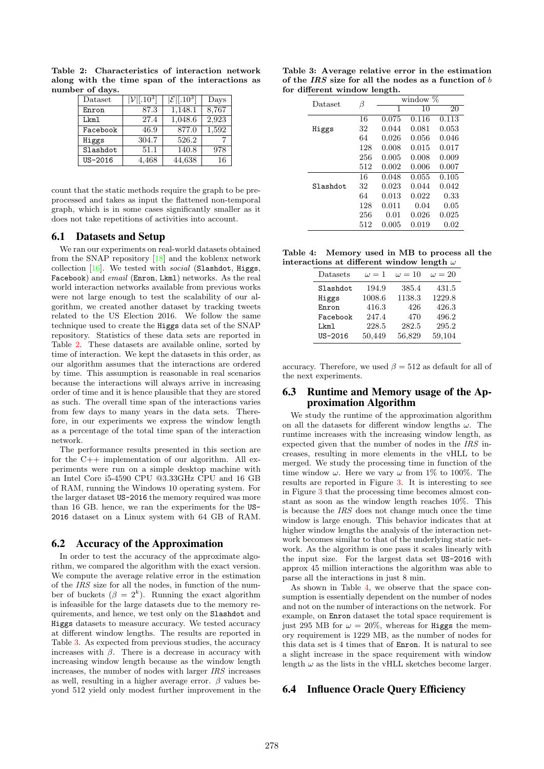| Dataset  | $ \mathcal{V} [.10^3]$ | $ \mathcal{E} $ [.10 <sup>3</sup> ] | Days  |
|----------|------------------------|-------------------------------------|-------|
| Enron    | 87.3                   | 1,148.1                             | 8,767 |
| Lkm1     | 27.4                   | 1,048.6                             | 2,923 |
| Facebook | 46.9                   | 877.0                               | 1,592 |
| Higgs    | 304.7                  | 526.2                               |       |
| Slashdot | 51.1                   | 140.8                               | 978   |
| US-2016  | 4,468                  | 44,638                              | 16    |

Table 2: Characteristics of interaction network along with the time span of the interactions as number of days.

count that the static methods require the graph to be preprocessed and takes as input the flattened non-temporal graph, which is in some cases significantly smaller as it does not take repetitions of activities into account.

### 6.1 Datasets and Setup

We ran our experiments on real-world datasets obtained from the SNAP repository [18] and the koblenx network collection  $[16]$ . We tested with *social* (Slashdot, Higgs, Facebook) and email (Enron, Lkml) networks. As the real world interaction networks available from previous works were not large enough to test the scalability of our algorithm, we created another dataset by tracking tweets related to the US Election 2016. We follow the same technique used to create the Higgs data set of the SNAP repository. Statistics of these data sets are reported in Table 2. These datasets are available online, sorted by time of interaction. We kept the datasets in this order, as our algorithm assumes that the interactions are ordered by time. This assumption is reasonable in real scenarios because the interactions will always arrive in increasing order of time and it is hence plausible that they are stored as such. The overall time span of the interactions varies from few days to many years in the data sets. Therefore, in our experiments we express the window length as a percentage of the total time span of the interaction network.

The performance results presented in this section are for the C++ implementation of our algorithm. All experiments were run on a simple desktop machine with an Intel Core i5-4590 CPU @3.33GHz CPU and 16 GB of RAM, running the Windows 10 operating system. For the larger dataset US-2016 the memory required was more than 16 GB. hence, we ran the experiments for the US-2016 dataset on a Linux system with 64 GB of RAM.

# 6.2 Accuracy of the Approximation

In order to test the accuracy of the approximate algorithm, we compared the algorithm with the exact version. We compute the average relative error in the estimation of the IRS size for all the nodes, in function of the number of buckets  $(\beta = 2^k)$ . Running the exact algorithm is infeasible for the large datasets due to the memory requirements, and hence, we test only on the Slashdot and Higgs datasets to measure accuracy. We tested accuracy at different window lengths. The results are reported in Table 3. As expected from previous studies, the accuracy increases with  $\beta$ . There is a decrease in accuracy with increasing window length because as the window length increases, the number of nodes with larger IRS increases as well, resulting in a higher average error.  $\beta$  values beyond 512 yield only modest further improvement in the

|                              |  |  |  | Table 3: Average relative error in the estimation      |  |  |  |
|------------------------------|--|--|--|--------------------------------------------------------|--|--|--|
|                              |  |  |  | of the IRS size for all the nodes as a function of $b$ |  |  |  |
| for different window length. |  |  |  |                                                        |  |  |  |

| Dataset  | β   | window $\%$ |       |       |  |  |  |
|----------|-----|-------------|-------|-------|--|--|--|
|          |     | 1           | 10    | 20    |  |  |  |
|          | 16  | 0.075       | 0.116 | 0.113 |  |  |  |
| Higgs    | 32  | 0.044       | 0.081 | 0.053 |  |  |  |
|          | 64  | 0.026       | 0.056 | 0.046 |  |  |  |
|          | 128 | 0.008       | 0.015 | 0.017 |  |  |  |
|          | 256 | 0.005       | 0.008 | 0.009 |  |  |  |
|          | 512 | 0.002       | 0.006 | 0.007 |  |  |  |
|          | 16  | 0.048       | 0.055 | 0.105 |  |  |  |
| Slashdot | 32  | 0.023       | 0.044 | 0.042 |  |  |  |
|          | 64  | 0.013       | 0.022 | 0.33  |  |  |  |
|          | 128 | 0.011       | 0.04  | 0.05  |  |  |  |
|          | 256 | 0.01        | 0.026 | 0.025 |  |  |  |
|          | 512 | 0.005       | 0.019 | 0.02  |  |  |  |

Table 4: Memory used in MB to process all the interactions at different window length  $\omega$ 

| Datasets | $\omega = 1$ | $\omega = 10$ | $\omega = 20$ |
|----------|--------------|---------------|---------------|
| Slashdot | 194.9        | 385.4         | 431.5         |
| Higgs    | 1008.6       | 1138.3        | 1229.8        |
| Enron    | 416.3        | 426           | 426.3         |
| Facebook | 247.4        | 470           | 496.2         |
| Lkm1     | 228.5        | 282.5         | 295.2         |
| US-2016  | 50,449       | 56,829        | 59,104        |
|          |              |               |               |

accuracy. Therefore, we used  $\beta = 512$  as default for all of the next experiments.

### 6.3 Runtime and Memory usage of the Approximation Algorithm

We study the runtime of the approximation algorithm on all the datasets for different window lengths  $\omega$ . The runtime increases with the increasing window length, as expected given that the number of nodes in the  $\overline{IRS}$  increases, resulting in more elements in the vHLL to be merged. We study the processing time in function of the time window  $\omega$ . Here we vary  $\omega$  from 1% to 100%. The results are reported in Figure 3. It is interesting to see in Figure 3 that the processing time becomes almost constant as soon as the window length reaches 10%. This is because the IRS does not change much once the time window is large enough. This behavior indicates that at higher window lengths the analysis of the interaction network becomes similar to that of the underlying static network. As the algorithm is one pass it scales linearly with the input size. For the largest data set US-2016 with approx 45 million interactions the algorithm was able to parse all the interactions in just 8 min.

As shown in Table 4, we observe that the space consumption is essentially dependent on the number of nodes and not on the number of interactions on the network. For example, on Enron dataset the total space requirement is just 295 MB for  $\omega = 20\%$ , whereas for Higgs the memory requirement is 1229 MB, as the number of nodes for this data set is 4 times that of Enron. It is natural to see a slight increase in the space requirement with window length  $\omega$  as the lists in the vHLL sketches become larger.

### 6.4 Influence Oracle Query Efficiency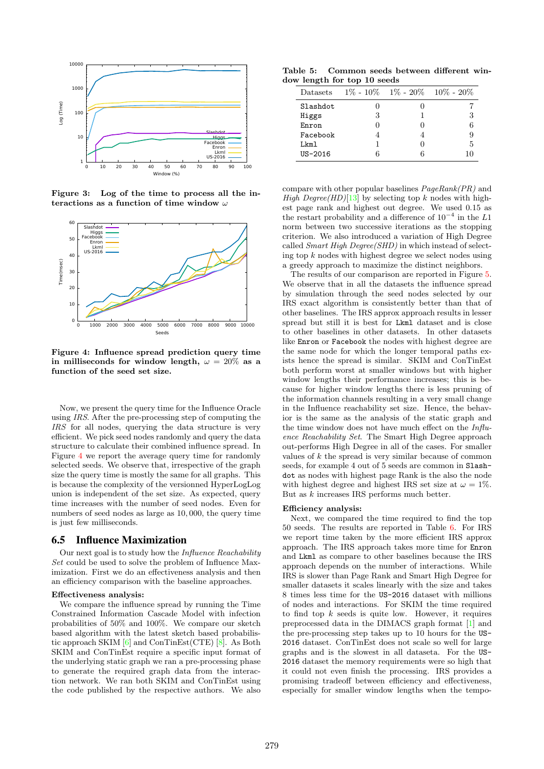

Figure 3: Log of the time to process all the interactions as a function of time window  $\omega$ 



Figure 4: Influence spread prediction query time in milliseconds for window length,  $\omega = 20\%$  as a function of the seed set size.

Now, we present the query time for the Influence Oracle using IRS. After the pre-processing step of computing the IRS for all nodes, querying the data structure is very efficient. We pick seed nodes randomly and query the data structure to calculate their combined influence spread. In Figure 4 we report the average query time for randomly selected seeds. We observe that, irrespective of the graph size the query time is mostly the same for all graphs. This is because the complexity of the versionned HyperLogLog union is independent of the set size. As expected, query time increases with the number of seed nodes. Even for numbers of seed nodes as large as 10, 000, the query time is just few milliseconds.

#### 6.5 Influence Maximization

Our next goal is to study how the Influence Reachability Set could be used to solve the problem of Influence Maximization. First we do an effectiveness analysis and then an efficiency comparison with the baseline approaches.

#### Effectiveness analysis:

We compare the influence spread by running the Time Constrained Information Cascade Model with infection probabilities of 50% and 100%. We compare our sketch based algorithm with the latest sketch based probabilistic approach SKIM [6] and ConTinEst(CTE) [8]. As Both SKIM and ConTinEst require a specific input format of the underlying static graph we ran a pre-processing phase to generate the required graph data from the interaction network. We ran both SKIM and ConTinEst using the code published by the respective authors. We also

Table 5: Common seeds between different window length for top 10 seeds

| Datasets    | $1\% - 10\% - 1\% - 20\% - 10\% - 20\%$ |    |
|-------------|-----------------------------------------|----|
| Slashdot    |                                         |    |
| Higgs       | 3                                       |    |
| Enron       |                                         |    |
| Facebook    |                                         |    |
| I.km1       |                                         | 5  |
| $US - 2016$ | 6                                       | 10 |

compare with other popular baselines PageRank(PR) and High Degree(HD)[13] by selecting top k nodes with highest page rank and highest out degree. We used 0.15 as the restart probability and a difference of  $10^{-4}$  in the L1 norm between two successive iterations as the stopping criterion. We also introduced a variation of High Degree called Smart High Degree(SHD) in which instead of selecting top k nodes with highest degree we select nodes using a greedy approach to maximize the distinct neighbors.

The results of our comparison are reported in Figure 5. We observe that in all the datasets the influence spread by simulation through the seed nodes selected by our IRS exact algorithm is consistently better than that of other baselines. The IRS approx approach results in lesser spread but still it is best for Lkml dataset and is close to other baselines in other datasets. In other datasets like Enron or Facebook the nodes with highest degree are the same node for which the longer temporal paths exists hence the spread is similar. SKIM and ConTinEst both perform worst at smaller windows but with higher window lengths their performance increases; this is because for higher window lengths there is less pruning of the information channels resulting in a very small change in the Influence reachability set size. Hence, the behavior is the same as the analysis of the static graph and the time window does not have much effect on the  $Influ$ ence Reachability Set. The Smart High Degree approach out-performs High Degree in all of the cases. For smaller values of  $k$  the spread is very similar because of common seeds, for example 4 out of 5 seeds are common in Slashdot as nodes with highest page Rank is the also the node with highest degree and highest IRS set size at  $\omega = 1\%$ . But as k increases IRS performs much better.

#### Efficiency analysis:

Next, we compared the time required to find the top 50 seeds. The results are reported in Table 6. For IRS we report time taken by the more efficient IRS approx approach. The IRS approach takes more time for Enron and Lkml as compare to other baselines because the IRS approach depends on the number of interactions. While IRS is slower than Page Rank and Smart High Degree for smaller datasets it scales linearly with the size and takes 8 times less time for the US-2016 dataset with millions of nodes and interactions. For SKIM the time required to find top  $k$  seeds is quite low. However, it requires preprocessed data in the DIMACS graph format [1] and the pre-processing step takes up to 10 hours for the US-2016 dataset. ConTinEst does not scale so well for large graphs and is the slowest in all dataseta. For the US-2016 dataset the memory requirements were so high that it could not even finish the processing. IRS provides a promising tradeoff between efficiency and effectiveness, especially for smaller window lengths when the tempo-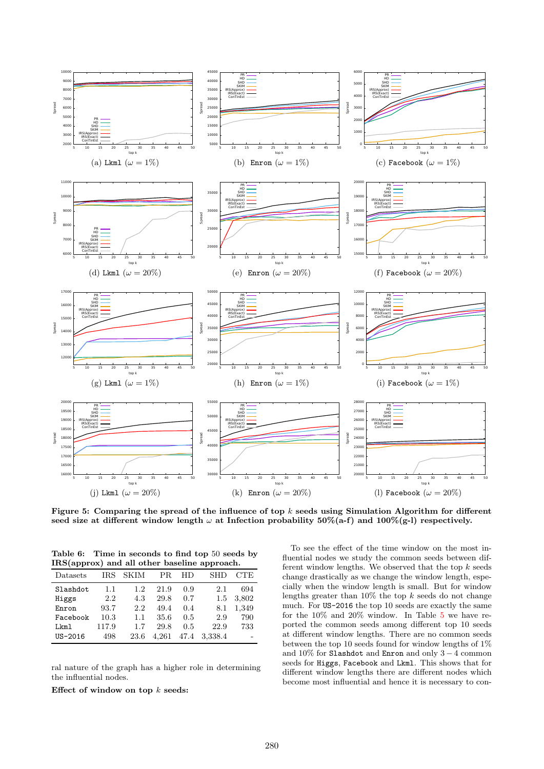

Figure 5: Comparing the spread of the influence of top  $k$  seeds using Simulation Algorithm for different seed size at different window length  $\omega$  at Infection probability 50%(a-f) and 100%(g-l) respectively.

Table 6: Time in seconds to find top 50 seeds by IRS(approx) and all other baseline approach.

| Datasets | IRS   | <b>SKIM</b> | PR.   | НD   | <b>SHD</b> | CTE   |
|----------|-------|-------------|-------|------|------------|-------|
| Slashdot | 1.1   | 1.2.        | 21.9  | 0.9  | 2.1        | 694   |
| Higgs    | 2.2   | 4.3         | 29.8  | 0.7  | 1.5        | 3,802 |
| Enron    | 93.7  | 2.2         | 49.4  | 0.4  | 8.1        | 1,349 |
| Facebook | 10.3  | $1.1\,$     | 35.6  | 0.5  | 2.9        | 790   |
| Lkm1     | 117.9 | 1.7         | 29.8  | 0.5  | 22.9       | 733   |
| US-2016  | 498   | 23.6        | 4.261 | 47.4 | 3,338.4    |       |

ral nature of the graph has a higher role in determining the influential nodes.

Effect of window on top  $k$  seeds:

To see the effect of the time window on the most influential nodes we study the common seeds between different window lengths. We observed that the top  $k$  seeds change drastically as we change the window length, especially when the window length is small. But for window lengths greater than  $10\%$  the top k seeds do not change much. For US-2016 the top 10 seeds are exactly the same for the 10% and 20% window. In Table 5 we have reported the common seeds among different top 10 seeds at different window lengths. There are no common seeds between the top 10 seeds found for window lengths of 1% and 10% for Slashdot and Enron and only 3 − 4 common seeds for Higgs, Facebook and Lkml. This shows that for different window lengths there are different nodes which become most influential and hence it is necessary to con